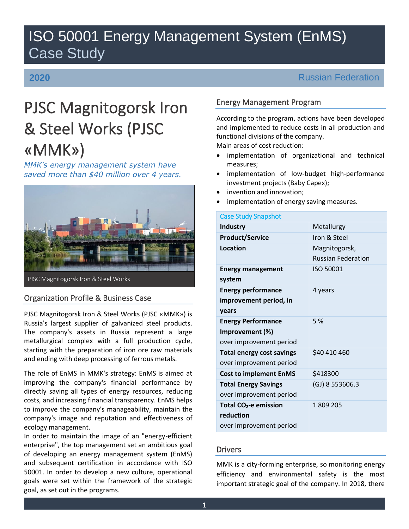# ISO 50001 Energy Management System (EnMS) Case Study

# **2020**

# Russian Federation

# PJSC Magnitogorsk Iron & Steel Works (PJSC «MMK»)

*MMK's energy management system have saved more than \$40 million over 4 years.*



# Organization Profile & Business Case

PJSC Magnitogorsk Iron & Steel Works (PJSC «MMK») is Russia's largest supplier of galvanized steel products. The company's assets in Russia represent a large metallurgical complex with a full production cycle, starting with the preparation of iron ore raw materials and ending with deep processing of ferrous metals.

The role of EnMS in MMK's strategy: EnMS is aimed at improving the company's financial performance by directly saving all types of energy resources, reducing costs, and increasing financial transparency. EnMS helps to improve the company's manageability, maintain the company's image and reputation and effectiveness of ecology management.

In order to maintain the image of an "energy-efficient enterprise", the top management set an ambitious goal of developing an energy management system (EnMS) and subsequent certification in accordance with ISO 50001. In order to develop a new culture, operational goals were set within the framework of the strategic goal, as set out in the programs.

# Energy Management Program

According to the program, actions have been developed and implemented to reduce costs in all production and functional divisions of the company. Main areas of cost reduction:

- implementation of organizational and technical measures;
- implementation of low-budget high-performance investment projects (Baby Capex);
- invention and innovation;
- implementation of energy saving measures.

| <b>Case Study Snapshot</b> |  |
|----------------------------|--|
| Metallurgy                 |  |
| Iron & Steel               |  |
| Magnitogorsk,              |  |
| <b>Russian Federation</b>  |  |
| ISO 50001                  |  |
|                            |  |
| 4 years                    |  |
|                            |  |
|                            |  |
| 5 %                        |  |
|                            |  |
|                            |  |
| \$40 410 460               |  |
|                            |  |
| \$418300                   |  |
| $(GJ)$ 8 553606.3          |  |
|                            |  |
| 1809 205                   |  |
|                            |  |
|                            |  |
|                            |  |

# **Drivers**

MMK is a city-forming enterprise, so monitoring energy efficiency and environmental safety is the most important strategic goal of the company. In 2018, there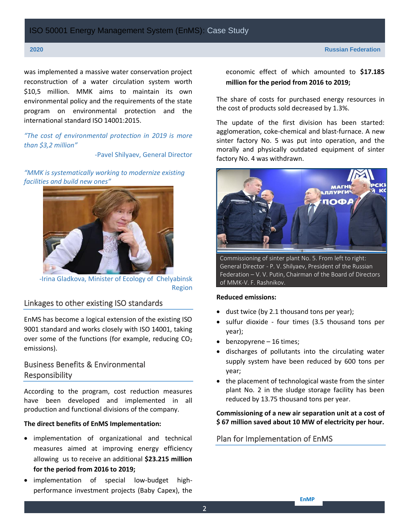was implemented a massive water conservation project reconstruction of a water circulation system worth \$10,5 million. MMK aims to maintain its own environmental policy and the requirements of the state program on environmental protection and the international standard ISO 14001:2015.

*"The cost of environmental protection in 2019 is more than \$3,2 million"*

-Pavel Shilyaev, General Director

*"MMK is systematically working to modernize existing facilities and build new ones"*



-Irina Gladkova, Minister of Ecology of Chelyabinsk Region

# Linkages to other existing ISO standards

EnMS has become a logical extension of the existing ISO 9001 standard and works closely with ISO 14001, taking over some of the functions (for example, reducing  $CO<sub>2</sub>$ emissions).

# Business Benefits & Environmental Responsibility

According to the program, cost reduction measures have been developed and implemented in all production and functional divisions of the company.

#### **The direct benefits of EnMS Implementation:**

- implementation of organizational and technical measures aimed at improving energy efficiency allowing us to receive an additional **\$23.215 million for the period from 2016 to 2019;**
- implementation of special low-budget highperformance investment projects (Baby Capex), the

economic effect of which amounted to **\$17.185 million for the period from 2016 to 2019;**

The share of costs for purchased energy resources in the cost of products sold decreased by 1.3%.

The update of the first division has been started: agglomeration, coke-chemical and blast-furnace. A new sinter factory No. 5 was put into operation, and the morally and physically outdated equipment of sinter factory No. 4 was withdrawn.



Commissioning of sinter plant No. 5. From left to right: General Director - P. V. Shilyaev, President of the Russian Federation – V. V. Putin, Chairman of the Board of Directors of MMK-V. F. Rashnikov.

#### **Reduced emissions:**

- dust twice (by 2.1 thousand tons per year);
- sulfur dioxide four times (3.5 thousand tons per year);
- benzopyrene 16 times;
- discharges of pollutants into the circulating water supply system have been reduced by 600 tons per year;
- the placement of technological waste from the sinter plant No. 2 in the sludge storage facility has been reduced by 13.75 thousand tons per year.

#### **Commissioning of a new air separation unit at a cost of \$ 67 million saved about 10 MW of electricity per hour.**

### Plan for Implementation of EnMS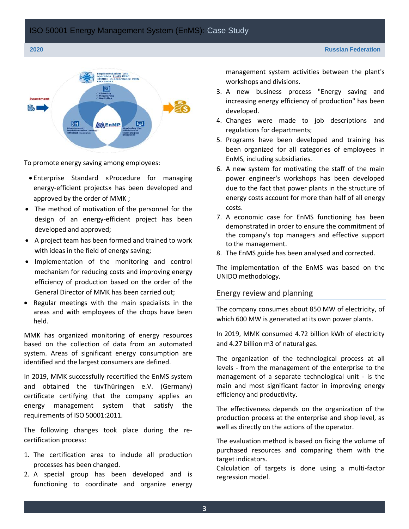

To promote energy saving among employees:

- Enterprise Standard «Procedure for managing energy-efficient projects» has been developed and approved by the order of MMK ;
- The method of motivation of the personnel for the design of an energy-efficient project has been developed and approved;
- A project team has been formed and trained to work with ideas in the field of energy saving;
- Implementation of the monitoring and control mechanism for reducing costs and improving energy efficiency of production based on the order of the General Director of MMK has been carried out;
- Regular meetings with the main specialists in the areas and with employees of the chops have been held.

MMK has organized monitoring of energy resources based on the collection of data from an automated system. Areas of significant energy consumption are identified and the largest consumers are defined.

In 2019, MMK successfully recertified the EnMS system and obtained the tüvThüringen e.V. (Germany) certificate certifying that the company applies an energy management system that satisfy the requirements of ISO 50001:2011.

The following changes took place during the recertification process:

- 1. The certification area to include all production processes has been changed.
- 2. A special group has been developed and is functioning to coordinate and organize energy

management system activities between the plant's workshops and divisions.

- 3. A new business process "Energy saving and increasing energy efficiency of production" has been developed.
- 4. Changes were made to job descriptions and regulations for departments;
- 5. Programs have been developed and training has been organized for all categories of employees in EnMS, including subsidiaries.
- 6. A new system for motivating the staff of the main power engineer's workshops has been developed due to the fact that power plants in the structure of energy costs account for more than half of all energy costs.
- 7. A economic case for EnMS functioning has been demonstrated in order to ensure the commitment of the company's top managers and effective support to the management.
- 8. The EnMS guide has been analysed and corrected.

The implementation of the EnMS was based on the UNIDO methodology.

#### Energy review and planning

The company consumes about 850 MW of electricity, of which 600 MW is generated at its own power plants.

In 2019, MMK consumed 4.72 billion kWh of electricity and 4.27 billion m3 of natural gas.

The organization of the technological process at all levels - from the management of the enterprise to the management of a separate technological unit - is the main and most significant factor in improving energy efficiency and productivity.

The effectiveness depends on the organization of the production process at the enterprise and shop level, as well as directly on the actions of the operator.

The evaluation method is based on fixing the volume of purchased resources and comparing them with the target indicators.

Calculation of targets is done using a multi-factor regression model.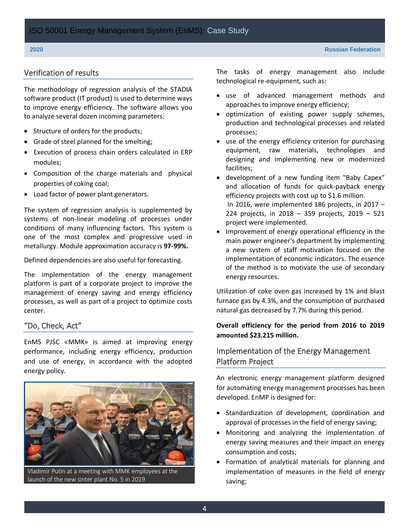#### Verification of results

The methodology of regression analysis of the STADIA software product (IT product) is used to determine ways to improve energy efficiency. The software allows you to analyze several dozen incoming parameters:

- Structure of orders for the products;
- Grade of steel planned for the smelting;
- Execution of process chain orders calculated in ERP modules;
- Сomposition of the charge materials and physical properties of coking coal;
- Load factor of power plant generators.

The system of regression analysis is supplemented by systems of non-linear modeling of processes under conditions of many influencing factors. This system is one of the most complex and progressive used in metallurgy. Module approximation accuracy is **97-99%.**

Defined dependencies are also useful for forecasting.

The implementation of the energy management platform is part of a corporate project to improve the management of energy saving and energy efficiency processes, as well as part of a project to optimize costs center.

#### "Do, Check, Act"

EnMS PJSC «MMK» is aimed at improving energy performance, including energy efficiency, production and use of energy, in accordance with the adopted energy policy.



Vladimir Putin at a meeting with MMK employees at the launch of the new sinter plant No. 5 in 2019

The tasks of energy management also include technological re-equipment, such as:

- use of advanced management methods and approaches to improve energy efficiency;
- optimization of existing power supply schemes, production and technological processes and related processes;
- use of the energy efficiency criterion for purchasing equipment, raw materials, technologies and designing and implementing new or modernized facilities;
- development of a new funding item "Baby Capex" and allocation of funds for quick-payback energy efficiency projects with cost up to \$1.6 million. In 2016, were implemented 186 projects, in 2017 – 224 projects, in 2018 – 359 projects, 2019 – 521 project were implemented.
- Improvement of energy operational efficiency in the main power engineer's department by implementing a new system of staff motivation focused on the implementation of economic indicators. The essence of the method is to motivate the use of secondary energy resources.

Utilization of coke oven gas increased by 1% and blast furnace gas by 4.3%, and the consumption of purchased natural gas decreased by 7.7% during this period.

#### **Overall efficiency for the period from 2016 to 2019 amounted \$23.215 million.**

### Implementation of the Energy Management Platform Project

An electronic energy management platform designed for automating energy management processes has been developed. EnMP is designed for:

- Standardization of development, coordination and approval of processes in the field of energy saving;
- Monitoring and analyzing the implementation of energy saving measures and their impact on energy consumption and costs;
- Formation of analytical materials for planning and implementation of measures in the field of energy saving;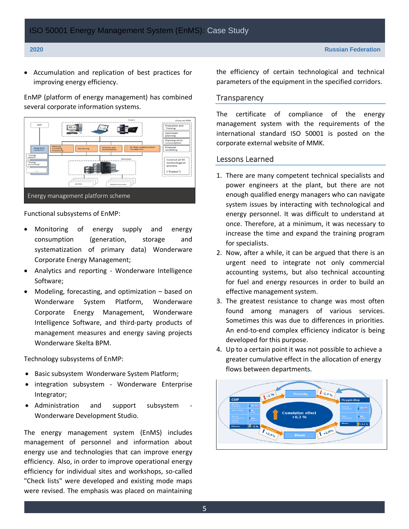• Accumulation and replication of best practices for improving energy efficiency.

EnMP (platform of energy management) has combined several corporate information systems.



Functional subsystems of EnMP:

- Monitoring of energy supply and energy consumption (generation, storage and systematization of primary data) Wonderware Corporate Energy Management;
- Analytics and reporting Wonderware Intelligence Software;
- Modeling, forecasting, and optimization based on Wonderware System Platform, Wonderware Corporate Energy Management, Wonderware Intelligence Software, and third-party products of management measures and energy saving projects Wonderware Skelta BPM.

Technology subsystems of EnMP:

- Basic subsystem Wonderware System Platform;
- integration subsystem Wonderware Enterprise Integrator;
- Administration and support subsystem Wonderware Development Studio.

The energy management system (EnMS) includes management of personnel and information about energy use and technologies that can improve energy efficiency. Also, in order to improve operational energy efficiency for individual sites and workshops, so-called "Check lists" were developed and existing mode maps were revised. The emphasis was placed on maintaining

the efficiency of certain technological and technical parameters of the equipment in the specified corridors.

#### **Transparency**

The certificate of compliance of the energy management system with the requirements of the international standard ISO 50001 is posted on the corporate external website of МMK.

#### Lessons Learned

- 1. There are many competent technical specialists and power engineers at the plant, but there are not enough qualified energy managers who can navigate system issues by interacting with technological and energy personnel. It was difficult to understand at once. Therefore, at a minimum, it was necessary to increase the time and expand the training program for specialists.
- 2. Now, after a while, it can be argued that there is an urgent need to integrate not only commercial accounting systems, but also technical accounting for fuel and energy resources in order to build an effective management system.
- 3. The greatest resistance to change was most often found among managers of various services. Sometimes this was due to differences in priorities. An end-to-end complex efficiency indicator is being developed for this purpose.
- 4. Up to a certain point it was not possible to achieve a greater cumulative effect in the allocation of energy flows between departments.